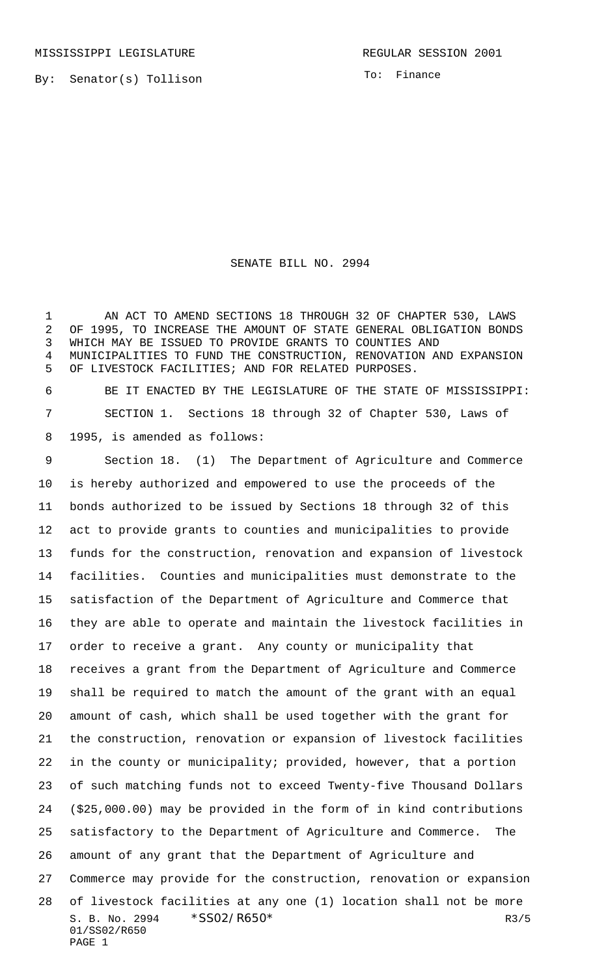MISSISSIPPI LEGISLATURE **REGULAR SESSION 2001** 

By: Senator(s) Tollison

To: Finance

## SENATE BILL NO. 2994

 AN ACT TO AMEND SECTIONS 18 THROUGH 32 OF CHAPTER 530, LAWS OF 1995, TO INCREASE THE AMOUNT OF STATE GENERAL OBLIGATION BONDS WHICH MAY BE ISSUED TO PROVIDE GRANTS TO COUNTIES AND MUNICIPALITIES TO FUND THE CONSTRUCTION, RENOVATION AND EXPANSION OF LIVESTOCK FACILITIES; AND FOR RELATED PURPOSES.

 BE IT ENACTED BY THE LEGISLATURE OF THE STATE OF MISSISSIPPI: SECTION 1. Sections 18 through 32 of Chapter 530, Laws of 1995, is amended as follows:

S. B. No. 2994  $*SSO2/R650*$  R3/5 01/SS02/R650 PAGE 1 Section 18. (1) The Department of Agriculture and Commerce is hereby authorized and empowered to use the proceeds of the bonds authorized to be issued by Sections 18 through 32 of this act to provide grants to counties and municipalities to provide funds for the construction, renovation and expansion of livestock facilities. Counties and municipalities must demonstrate to the satisfaction of the Department of Agriculture and Commerce that they are able to operate and maintain the livestock facilities in order to receive a grant. Any county or municipality that receives a grant from the Department of Agriculture and Commerce shall be required to match the amount of the grant with an equal amount of cash, which shall be used together with the grant for the construction, renovation or expansion of livestock facilities in the county or municipality; provided, however, that a portion of such matching funds not to exceed Twenty-five Thousand Dollars (\$25,000.00) may be provided in the form of in kind contributions satisfactory to the Department of Agriculture and Commerce. The amount of any grant that the Department of Agriculture and Commerce may provide for the construction, renovation or expansion of livestock facilities at any one (1) location shall not be more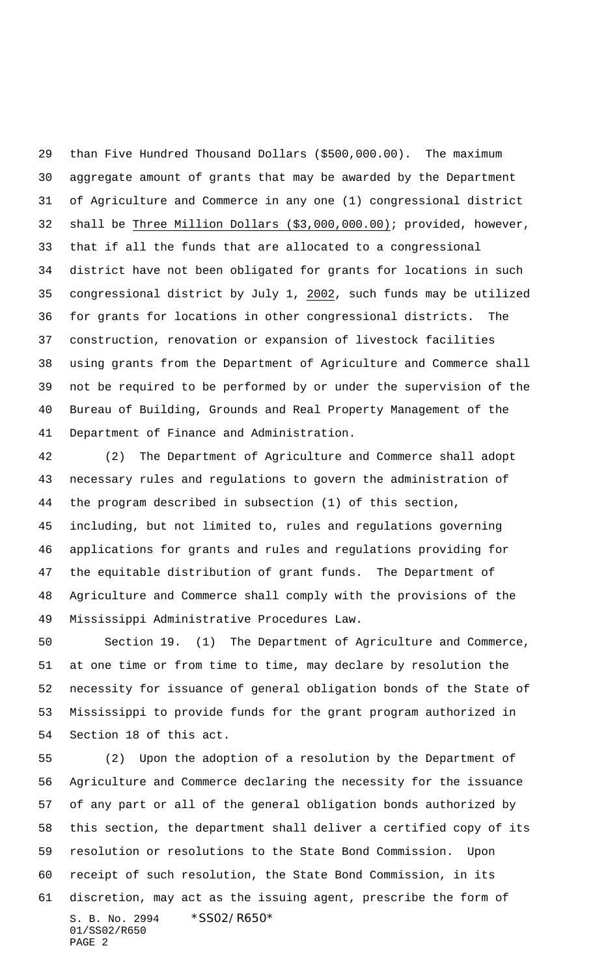than Five Hundred Thousand Dollars (\$500,000.00). The maximum aggregate amount of grants that may be awarded by the Department of Agriculture and Commerce in any one (1) congressional district 32 shall be Three Million Dollars (\$3,000,000.00); provided, however, that if all the funds that are allocated to a congressional district have not been obligated for grants for locations in such congressional district by July 1, 2002, such funds may be utilized for grants for locations in other congressional districts. The construction, renovation or expansion of livestock facilities using grants from the Department of Agriculture and Commerce shall not be required to be performed by or under the supervision of the Bureau of Building, Grounds and Real Property Management of the Department of Finance and Administration.

 (2) The Department of Agriculture and Commerce shall adopt necessary rules and regulations to govern the administration of the program described in subsection (1) of this section, including, but not limited to, rules and regulations governing applications for grants and rules and regulations providing for the equitable distribution of grant funds. The Department of Agriculture and Commerce shall comply with the provisions of the Mississippi Administrative Procedures Law.

 Section 19. (1) The Department of Agriculture and Commerce, at one time or from time to time, may declare by resolution the necessity for issuance of general obligation bonds of the State of Mississippi to provide funds for the grant program authorized in Section 18 of this act.

S. B. No. 2994 \* SS02/R650\* 01/SS02/R650 PAGE 2 (2) Upon the adoption of a resolution by the Department of Agriculture and Commerce declaring the necessity for the issuance of any part or all of the general obligation bonds authorized by this section, the department shall deliver a certified copy of its resolution or resolutions to the State Bond Commission. Upon receipt of such resolution, the State Bond Commission, in its discretion, may act as the issuing agent, prescribe the form of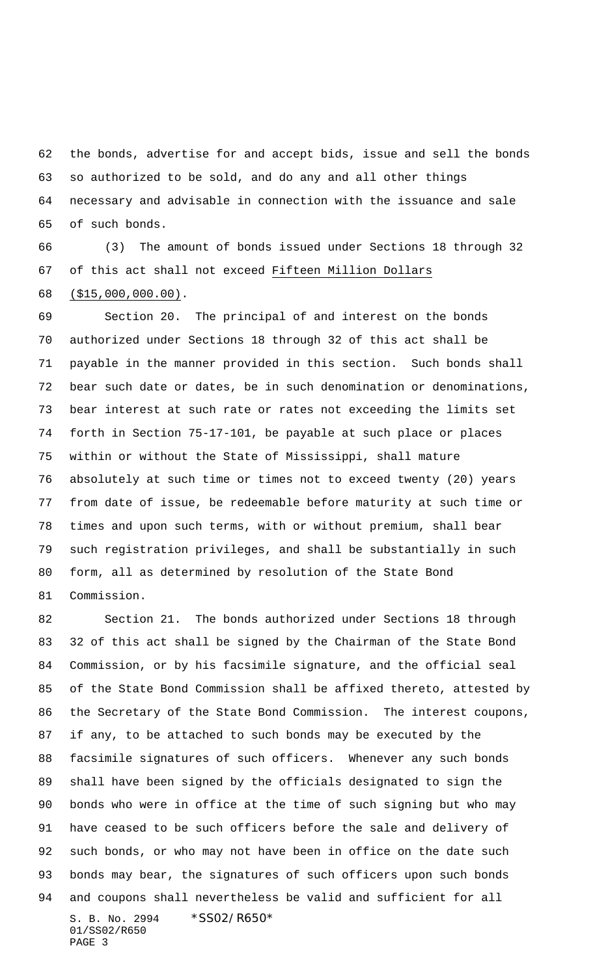the bonds, advertise for and accept bids, issue and sell the bonds so authorized to be sold, and do any and all other things necessary and advisable in connection with the issuance and sale of such bonds.

 (3) The amount of bonds issued under Sections 18 through 32 of this act shall not exceed Fifteen Million Dollars (\$15,000,000.00).

 Section 20. The principal of and interest on the bonds authorized under Sections 18 through 32 of this act shall be payable in the manner provided in this section. Such bonds shall bear such date or dates, be in such denomination or denominations, bear interest at such rate or rates not exceeding the limits set forth in Section 75-17-101, be payable at such place or places within or without the State of Mississippi, shall mature absolutely at such time or times not to exceed twenty (20) years from date of issue, be redeemable before maturity at such time or times and upon such terms, with or without premium, shall bear such registration privileges, and shall be substantially in such form, all as determined by resolution of the State Bond Commission.

S. B. No. 2994 \* SS02/R650\* 01/SS02/R650 PAGE 3 Section 21. The bonds authorized under Sections 18 through 32 of this act shall be signed by the Chairman of the State Bond Commission, or by his facsimile signature, and the official seal of the State Bond Commission shall be affixed thereto, attested by the Secretary of the State Bond Commission. The interest coupons, if any, to be attached to such bonds may be executed by the facsimile signatures of such officers. Whenever any such bonds shall have been signed by the officials designated to sign the bonds who were in office at the time of such signing but who may have ceased to be such officers before the sale and delivery of such bonds, or who may not have been in office on the date such bonds may bear, the signatures of such officers upon such bonds and coupons shall nevertheless be valid and sufficient for all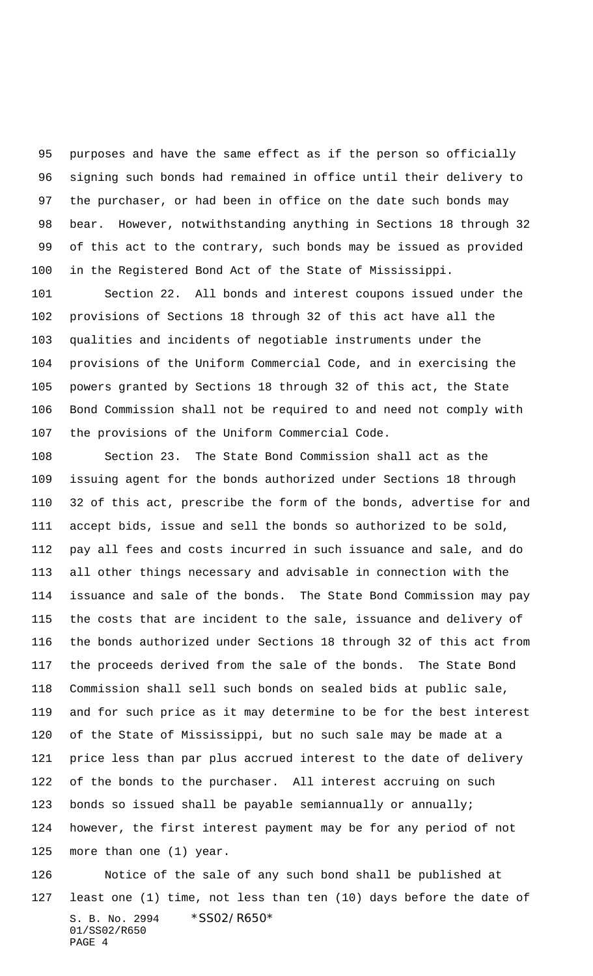purposes and have the same effect as if the person so officially signing such bonds had remained in office until their delivery to the purchaser, or had been in office on the date such bonds may bear. However, notwithstanding anything in Sections 18 through 32 of this act to the contrary, such bonds may be issued as provided in the Registered Bond Act of the State of Mississippi.

 Section 22. All bonds and interest coupons issued under the provisions of Sections 18 through 32 of this act have all the qualities and incidents of negotiable instruments under the provisions of the Uniform Commercial Code, and in exercising the powers granted by Sections 18 through 32 of this act, the State Bond Commission shall not be required to and need not comply with the provisions of the Uniform Commercial Code.

 Section 23. The State Bond Commission shall act as the issuing agent for the bonds authorized under Sections 18 through 32 of this act, prescribe the form of the bonds, advertise for and accept bids, issue and sell the bonds so authorized to be sold, pay all fees and costs incurred in such issuance and sale, and do all other things necessary and advisable in connection with the issuance and sale of the bonds. The State Bond Commission may pay the costs that are incident to the sale, issuance and delivery of the bonds authorized under Sections 18 through 32 of this act from the proceeds derived from the sale of the bonds. The State Bond Commission shall sell such bonds on sealed bids at public sale, and for such price as it may determine to be for the best interest of the State of Mississippi, but no such sale may be made at a price less than par plus accrued interest to the date of delivery of the bonds to the purchaser. All interest accruing on such bonds so issued shall be payable semiannually or annually; however, the first interest payment may be for any period of not more than one (1) year.

S. B. No. 2994 \* SS02/R650\* 01/SS02/R650 PAGE 4 Notice of the sale of any such bond shall be published at least one (1) time, not less than ten (10) days before the date of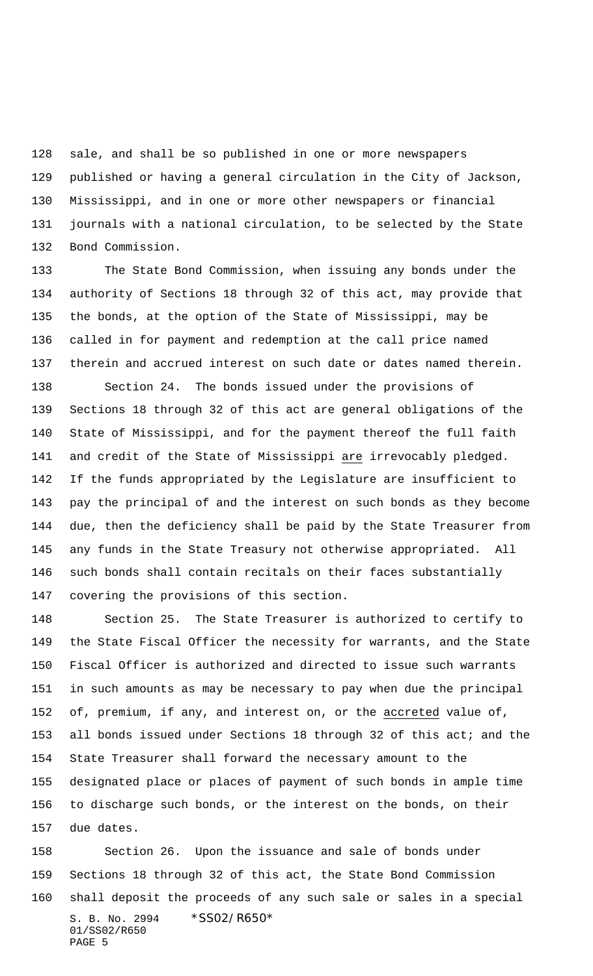sale, and shall be so published in one or more newspapers published or having a general circulation in the City of Jackson, Mississippi, and in one or more other newspapers or financial journals with a national circulation, to be selected by the State Bond Commission.

 The State Bond Commission, when issuing any bonds under the authority of Sections 18 through 32 of this act, may provide that the bonds, at the option of the State of Mississippi, may be called in for payment and redemption at the call price named therein and accrued interest on such date or dates named therein.

Section 24. The bonds issued under the provisions of

 Sections 18 through 32 of this act are general obligations of the State of Mississippi, and for the payment thereof the full faith and credit of the State of Mississippi are irrevocably pledged. If the funds appropriated by the Legislature are insufficient to pay the principal of and the interest on such bonds as they become due, then the deficiency shall be paid by the State Treasurer from any funds in the State Treasury not otherwise appropriated. All such bonds shall contain recitals on their faces substantially covering the provisions of this section.

 Section 25. The State Treasurer is authorized to certify to the State Fiscal Officer the necessity for warrants, and the State Fiscal Officer is authorized and directed to issue such warrants in such amounts as may be necessary to pay when due the principal of, premium, if any, and interest on, or the accreted value of, all bonds issued under Sections 18 through 32 of this act; and the State Treasurer shall forward the necessary amount to the designated place or places of payment of such bonds in ample time to discharge such bonds, or the interest on the bonds, on their due dates.

S. B. No. 2994 \* SS02/R650\* 01/SS02/R650 PAGE 5 Section 26. Upon the issuance and sale of bonds under Sections 18 through 32 of this act, the State Bond Commission shall deposit the proceeds of any such sale or sales in a special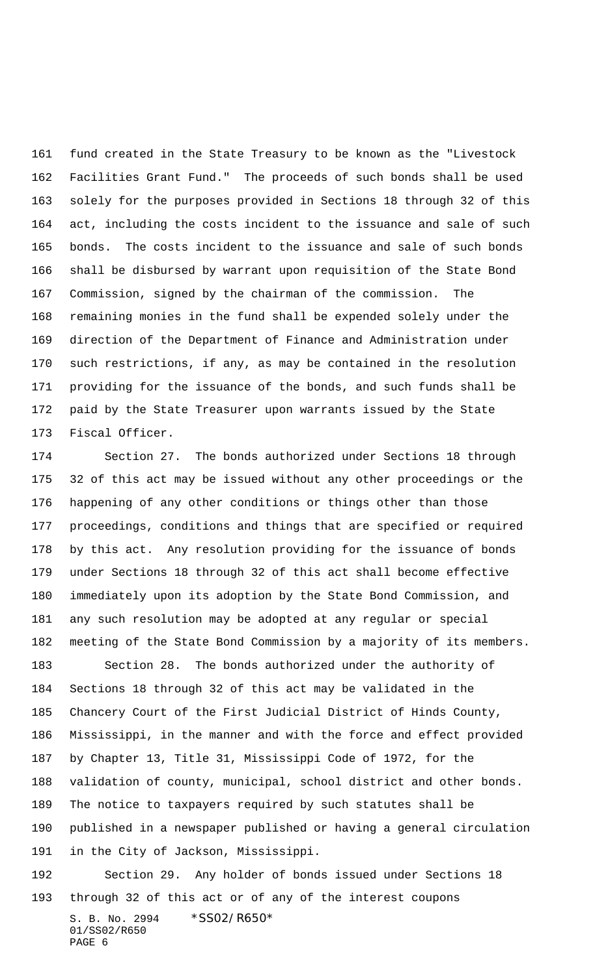fund created in the State Treasury to be known as the "Livestock Facilities Grant Fund." The proceeds of such bonds shall be used solely for the purposes provided in Sections 18 through 32 of this act, including the costs incident to the issuance and sale of such bonds. The costs incident to the issuance and sale of such bonds shall be disbursed by warrant upon requisition of the State Bond Commission, signed by the chairman of the commission. The remaining monies in the fund shall be expended solely under the direction of the Department of Finance and Administration under such restrictions, if any, as may be contained in the resolution providing for the issuance of the bonds, and such funds shall be paid by the State Treasurer upon warrants issued by the State Fiscal Officer.

S. B. No. 2994 \* SS02/R650\* Section 27. The bonds authorized under Sections 18 through 32 of this act may be issued without any other proceedings or the happening of any other conditions or things other than those proceedings, conditions and things that are specified or required by this act. Any resolution providing for the issuance of bonds under Sections 18 through 32 of this act shall become effective immediately upon its adoption by the State Bond Commission, and any such resolution may be adopted at any regular or special meeting of the State Bond Commission by a majority of its members. Section 28. The bonds authorized under the authority of Sections 18 through 32 of this act may be validated in the Chancery Court of the First Judicial District of Hinds County, Mississippi, in the manner and with the force and effect provided by Chapter 13, Title 31, Mississippi Code of 1972, for the validation of county, municipal, school district and other bonds. The notice to taxpayers required by such statutes shall be published in a newspaper published or having a general circulation in the City of Jackson, Mississippi. Section 29. Any holder of bonds issued under Sections 18 through 32 of this act or of any of the interest coupons

01/SS02/R650 PAGE 6